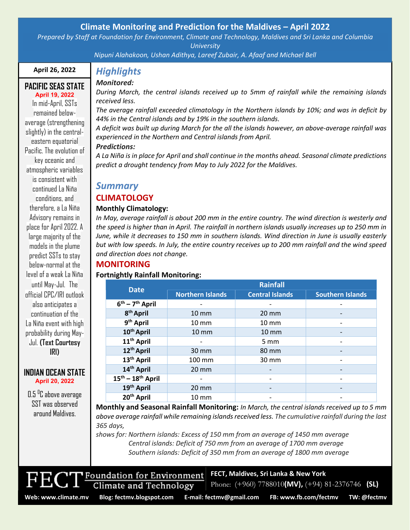## **Climate Monitoring and Prediction for the Maldives – April 2022**

*Prepared by Staff at Foundation for Environment, Climate and Technology, Maldives and Sri Lanka and Columbia University*

*Nipuni Alahakoon, Ushan Adithya, Lareef Zubair, A. Afaaf and Michael Bell*

## **April 26, 2022**

**April 19, 2022** In mid-April, SSTs remained belowaverage (strengthening slightly) in the centraleastern equatorial Pacific. The evolution of key oceanic and atmospheric variables is consistent with continued La Niña conditions, and therefore, a La Niña Advisory remains in place for April2022. A large majority of the models in the plume predict SSTs to stay below-normal at the level of a weak La Niña until May-Jul. The official CPC/IRI outlook also anticipates a continuation of the La Niña event with high probability during May-Jul. **(Text Courtesy IRI)**

#### **PACIFIC SEAS STATE** *Monitored:*

*During March, the central islands received up to 5mm of rainfall while the remaining islands received less.*

*The average rainfall exceeded climatology in the Northern islands by 10%; and was in deficit by 44% in the Central islands and by 19% in the southern islands.*

*A deficit was built up during March for the all the islands however, an above-average rainfall was experienced in the Northern and Central islands from April.*

## *Predictions:*

*Highlights*

*A La Niña is in place for April and shall continue in the months ahead. Seasonal climate predictions predict a drought tendency from May to July 2022 for the Maldives.*

## *Summary*

### **CLIMATOLOGY**

### **Monthly Climatology:**

*In May, average rainfall is about 200 mm in the entire country. The wind direction is westerly and the speed is higher than in April. The rainfall in northern islands usually increases up to 250 mm in June, while it decreases to 150 mm in southern islands. Wind direction in June is usually easterly but with low speeds. In July, the entire country receives up to 200 mm rainfall and the wind speed and direction does not change.*

# **MONITORING**

### **Fortnightly Rainfall Monitoring:**

| <b>Date</b>                             | Rainfall                |                              |                         |
|-----------------------------------------|-------------------------|------------------------------|-------------------------|
|                                         | <b>Northern Islands</b> | <b>Central Islands</b>       | <b>Southern Islands</b> |
| $6^{th}$ – $7^{th}$ April               |                         |                              |                         |
| 8 <sup>th</sup> April                   | $10 \, \text{mm}$       | $20 \, \text{mm}$            |                         |
| 9 <sup>th</sup> April                   | $10 \, \text{mm}$       | $10 \, \text{mm}$            |                         |
| 10 <sup>th</sup> April                  | $10 \, \text{mm}$       | $10 \, \text{mm}$            |                         |
| 11 <sup>th</sup> April                  |                         | 5 mm                         |                         |
| 12 <sup>th</sup> April                  | $30 \text{ mm}$         | 80 mm                        |                         |
| 13 <sup>th</sup> April                  | 100 mm                  | 30 mm                        |                         |
| 14th April                              | $20 \, \text{mm}$       |                              |                         |
| $15^{\text{th}} - 18^{\text{th}}$ April |                         | $\qquad \qquad \blacksquare$ |                         |
| 19 <sup>th</sup> April                  | $20 \, \text{mm}$       |                              |                         |
| 20 <sup>th</sup> April                  | $10 \, \text{mm}$       |                              |                         |

**Monthly and Seasonal Rainfall Monitoring:** *In March, the central islands received up to 5 mm above average rainfall while remaining islands received less. The cumulative rainfall during the last 365 days,*

*shows for: Northern islands: Excess of 150 mm from an average of 1450 mm average Central islands: Deficit of 750 mm from an average of 1700 mm average Southern islands: Deficit of 350 mm from an average of 1800 mm average*

Foundation for Environment **Climate and Technology** Phone: (+960) 7788010**(MV),** (+94) 81-2376746 **(SL)**

**FECT, Maldives, Sri Lanka & New York**

**INDIAN OCEAN STATE April 20, 2022**

0.5 <sup>o</sup>C above average SST was observed around Maldives.

**Web: www.climate.mv Blog[: fectmv.blogspot.com](mailto:fectmv.blogspot.com) E-mail: [fectmv@gmail.com](mailto:fectmv@gmail.com) FB[: www.fb.com/fectmv](http://www.fb.com/fectmv) TW: @fectmv**

Page